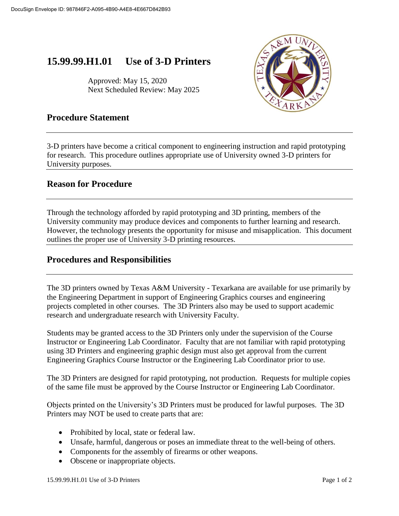# **15.99.99.H1.01 Use of 3-D Printers**

Approved: May 15, 2020 Next Scheduled Review: May 2025



# **Procedure Statement**

3-D printers have become a critical component to engineering instruction and rapid prototyping for research. This procedure outlines appropriate use of University owned 3-D printers for University purposes.

# **Reason for Procedure**

Through the technology afforded by rapid prototyping and 3D printing, members of the University community may produce devices and components to further learning and research. However, the technology presents the opportunity for misuse and misapplication. This document outlines the proper use of University 3-D printing resources.

## **Procedures and Responsibilities**

The 3D printers owned by Texas A&M University - Texarkana are available for use primarily by the Engineering Department in support of Engineering Graphics courses and engineering projects completed in other courses. The 3D Printers also may be used to support academic research and undergraduate research with University Faculty.

Students may be granted access to the 3D Printers only under the supervision of the Course Instructor or Engineering Lab Coordinator. Faculty that are not familiar with rapid prototyping using 3D Printers and engineering graphic design must also get approval from the current Engineering Graphics Course Instructor or the Engineering Lab Coordinator prior to use.

The 3D Printers are designed for rapid prototyping, not production. Requests for multiple copies of the same file must be approved by the Course Instructor or Engineering Lab Coordinator.

Objects printed on the University's 3D Printers must be produced for lawful purposes. The 3D Printers may NOT be used to create parts that are:

- Prohibited by local, state or federal law.
- Unsafe, harmful, dangerous or poses an immediate threat to the well-being of others.
- Components for the assembly of firearms or other weapons.
- Obscene or inappropriate objects.